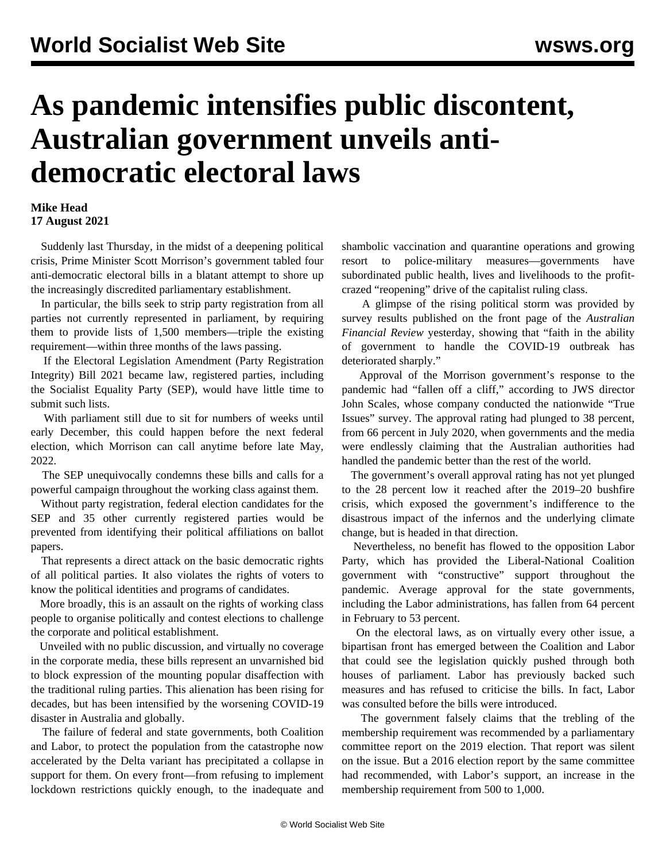## **As pandemic intensifies public discontent, Australian government unveils antidemocratic electoral laws**

## **Mike Head 17 August 2021**

 Suddenly last Thursday, in the midst of a deepening political crisis, Prime Minister Scott Morrison's government tabled four anti-democratic electoral bills in a blatant attempt to shore up the increasingly discredited parliamentary establishment.

 In particular, the bills seek to strip party registration from all parties not currently represented in parliament, by requiring them to provide lists of 1,500 members—triple the existing requirement—within three months of the laws passing.

 If the Electoral Legislation Amendment (Party Registration Integrity) Bill 2021 became law, registered parties, including the Socialist Equality Party (SEP), would have little time to submit such lists.

 With parliament still due to sit for numbers of weeks until early December, this could happen before the next federal election, which Morrison can call anytime before late May, 2022.

 The SEP unequivocally condemns these bills and calls for a powerful campaign throughout the working class against them.

 Without party registration, federal election candidates for the SEP and 35 other currently registered parties would be prevented from identifying their political affiliations on ballot papers.

 That represents a direct attack on the basic democratic rights of all political parties. It also violates the rights of voters to know the political identities and programs of candidates.

 More broadly, this is an assault on the rights of working class people to organise politically and contest elections to challenge the corporate and political establishment.

 Unveiled with no public discussion, and virtually no coverage in the corporate media, these bills represent an unvarnished bid to block expression of the mounting popular disaffection with the traditional ruling parties. This alienation has been rising for decades, but has been intensified by the worsening COVID-19 disaster in Australia and globally.

 The failure of federal and state governments, both Coalition and Labor, to protect the population from the catastrophe now accelerated by the Delta variant has precipitated a collapse in support for them. On every front—from refusing to implement lockdown restrictions quickly enough, to the inadequate and

shambolic vaccination and quarantine operations and growing resort to police-military measures—governments have subordinated public health, lives and livelihoods to the profitcrazed "reopening" drive of the capitalist ruling class.

 A glimpse of the rising political storm was provided by survey results published on the front page of the *Australian Financial Review* yesterday, showing that "faith in the ability of government to handle the COVID-19 outbreak has deteriorated sharply."

 Approval of the Morrison government's response to the pandemic had "fallen off a cliff," according to JWS director John Scales, whose company conducted the nationwide "True Issues" survey. The approval rating had plunged to 38 percent, from 66 percent in July 2020, when governments and the media were endlessly claiming that the Australian authorities had handled the pandemic better than the rest of the world.

 The government's overall approval rating has not yet plunged to the 28 percent low it reached after the 2019–20 bushfire crisis, which exposed the government's indifference to the disastrous impact of the infernos and the underlying climate change, but is headed in that direction.

 Nevertheless, no benefit has flowed to the opposition Labor Party, which has provided the Liberal-National Coalition government with "constructive" support throughout the pandemic. Average approval for the state governments, including the Labor administrations, has fallen from 64 percent in February to 53 percent.

 On the electoral laws, as on virtually every other issue, a bipartisan front has emerged between the Coalition and Labor that could see the legislation quickly pushed through both houses of parliament. Labor has previously backed such measures and has refused to criticise the bills. In fact, Labor was consulted before the bills were introduced.

 The government falsely claims that the trebling of the membership requirement was recommended by a parliamentary committee report on the 2019 election. That report was silent on the issue. But a 2016 election report by the same committee had recommended, with Labor's support, an increase in the membership requirement from 500 to 1,000.